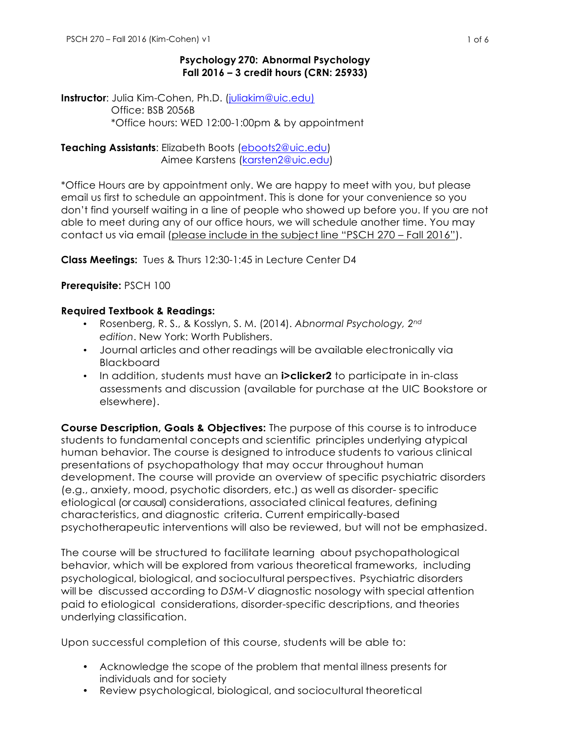## **Psychology 270: Abnormal Psychology Fall 2016 – 3 credit hours (CRN: 25933)**

**Instructor**: Julia Kim-Cohen, Ph.D. (juliakim@uic.edu) Office: BSB 2056B \*Office hours: WED 12:00-1:00pm & by appointment

**Teaching Assistants**: Elizabeth Boots (eboots2@uic.edu) Aimee Karstens (karsten2@uic.edu)

\*Office Hours are by appointment only. We are happy to meet with you, but please email us first to schedule an appointment. This is done for your convenience so you don't find yourself waiting in a line of people who showed up before you. If you are not able to meet during any of our office hours, we will schedule another time. You may contact us via email (please include in the subject line "PSCH 270 – Fall 2016").

**Class Meetings:** Tues & Thurs 12:30-1:45 in Lecture Center D4

**Prerequisite:** PSCH 100

## **Required Textbook & Readings:**

- Rosenberg, R. S., & Kosslyn, S. M. (2014). *Abnormal Psychology, 2nd edition*. New York: Worth Publishers.
- Journal articles and other readings will be available electronically via **Blackboard**
- In addition, students must have an **i>clicker2** to participate in in-class assessments and discussion (available for purchase at the UIC Bookstore or elsewhere).

**Course Description, Goals & Objectives:** The purpose of this course is to introduce students to fundamental concepts and scientific principles underlying atypical human behavior. The course is designed to introduce students to various clinical presentations of psychopathology that may occur throughout human development. The course will provide an overview of specific psychiatric disorders (e.g., anxiety, mood, psychotic disorders, etc.) as well as disorder- specific etiological (or causal) considerations, associated clinical features, defining characteristics, and diagnostic criteria. Current empirically-based psychotherapeutic interventions will also be reviewed, but will not be emphasized.

The course will be structured to facilitate learning about psychopathological behavior, which will be explored from various theoretical frameworks, including psychological, biological, and sociocultural perspectives. Psychiatric disorders will be discussed according to *DSM-V* diagnostic nosology with special attention paid to etiological considerations, disorder-specific descriptions, and theories underlying classification.

Upon successful completion of this course, students will be able to:

- Acknowledge the scope of the problem that mental illness presents for individuals and for society
- Review psychological, biological, and sociocultural theoretical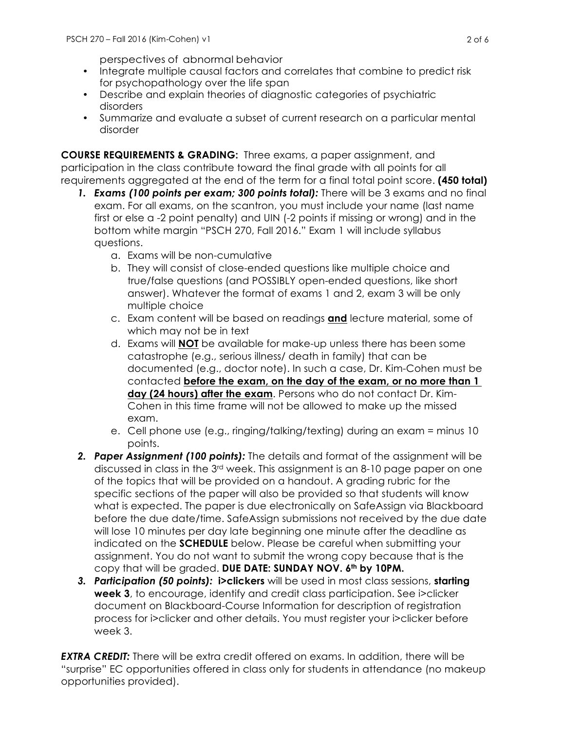perspectives of abnormal behavior

- Integrate multiple causal factors and correlates that combine to predict risk for psychopathology over the life span
- Describe and explain theories of diagnostic categories of psychiatric disorders
- Summarize and evaluate a subset of current research on a particular mental disorder

**COURSE REQUIREMENTS & GRADING:** Three exams, a paper assignment, and participation in the class contribute toward the final grade with all points for all requirements aggregated at the end of the term for a final total point score. **(450 total)**

- *1. Exams (100 points per exam; 300 points total):* There will be 3 exams and no final exam. For all exams, on the scantron, you must include your name (last name first or else a -2 point penalty) and UIN (-2 points if missing or wrong) and in the bottom white margin "PSCH 270, Fall 2016." Exam 1 will include syllabus questions.
	- a. Exams will be non-cumulative
	- b. They will consist of close-ended questions like multiple choice and true/false questions (and POSSIBLY open-ended questions, like short answer). Whatever the format of exams 1 and 2, exam 3 will be only multiple choice
	- c. Exam content will be based on readings **and** lecture material, some of which may not be in text
	- d. Exams will **NOT** be available for make-up unless there has been some catastrophe (e.g., serious illness/ death in family) that can be documented (e.g., doctor note). In such a case, Dr. Kim-Cohen must be contacted **before the exam, on the day of the exam, or no more than 1 day (24 hours) after the exam**. Persons who do not contact Dr. Kim-Cohen in this time frame will not be allowed to make up the missed exam.
	- e. Cell phone use (e.g., ringing/talking/texting) during an exam = minus 10 points.
- *2. Paper Assignment (100 points):* The details and format of the assignment will be discussed in class in the 3rd week. This assignment is an 8-10 page paper on one of the topics that will be provided on a handout. A grading rubric for the specific sections of the paper will also be provided so that students will know what is expected. The paper is due electronically on SafeAssign via Blackboard before the due date/time. SafeAssign submissions not received by the due date will lose 10 minutes per day late beginning one minute after the deadline as indicated on the **SCHEDULE** below. Please be careful when submitting your assignment. You do not want to submit the wrong copy because that is the copy that will be graded. **DUE DATE: SUNDAY NOV. 6th by 10PM.**
- *3. Participation (50 points):* **i>clickers** will be used in most class sessions, **starting week 3**, to encourage, identify and credit class participation. See i>clicker document on Blackboard-Course Information for description of registration process for i>clicker and other details. You must register your i>clicker before week 3.

**EXTRA CREDIT:** There will be extra credit offered on exams. In addition, there will be "surprise" EC opportunities offered in class only for students in attendance (no makeup opportunities provided).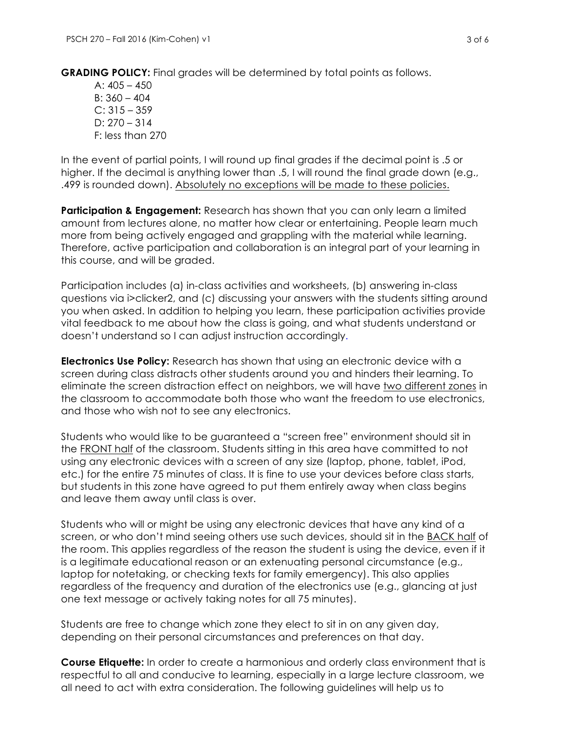**GRADING POLICY:** Final grades will be determined by total points as follows.

A:  $405 - 450$  $B: 360 - 404$  $C: 315 - 359$  $D: 270 - 314$ F: less than 270

In the event of partial points, I will round up final grades if the decimal point is .5 or higher. If the decimal is anything lower than .5, I will round the final grade down (e.g., .499 is rounded down). Absolutely no exceptions will be made to these policies.

**Participation & Engagement:** Research has shown that you can only learn a limited amount from lectures alone, no matter how clear or entertaining. People learn much more from being actively engaged and grappling with the material while learning. Therefore, active participation and collaboration is an integral part of your learning in this course, and will be graded.

Participation includes (a) in-class activities and worksheets, (b) answering in-class questions via i>clicker2, and (c) discussing your answers with the students sitting around you when asked. In addition to helping you learn, these participation activities provide vital feedback to me about how the class is going, and what students understand or doesn't understand so I can adjust instruction accordingly.

**Electronics Use Policy:** Research has shown that using an electronic device with a screen during class distracts other students around you and hinders their learning. To eliminate the screen distraction effect on neighbors, we will have two different zones in the classroom to accommodate both those who want the freedom to use electronics, and those who wish not to see any electronics.

Students who would like to be guaranteed a "screen free" environment should sit in the FRONT half of the classroom. Students sitting in this area have committed to not using any electronic devices with a screen of any size (laptop, phone, tablet, iPod, etc.) for the entire 75 minutes of class. It is fine to use your devices before class starts, but students in this zone have agreed to put them entirely away when class begins and leave them away until class is over.

Students who will or might be using any electronic devices that have any kind of a screen, or who don't mind seeing others use such devices, should sit in the BACK half of the room. This applies regardless of the reason the student is using the device, even if it is a legitimate educational reason or an extenuating personal circumstance (e.g., laptop for notetaking, or checking texts for family emergency). This also applies regardless of the frequency and duration of the electronics use (e.g., glancing at just one text message or actively taking notes for all 75 minutes).

Students are free to change which zone they elect to sit in on any given day, depending on their personal circumstances and preferences on that day.

**Course Etiquette:** In order to create a harmonious and orderly class environment that is respectful to all and conducive to learning, especially in a large lecture classroom, we all need to act with extra consideration. The following guidelines will help us to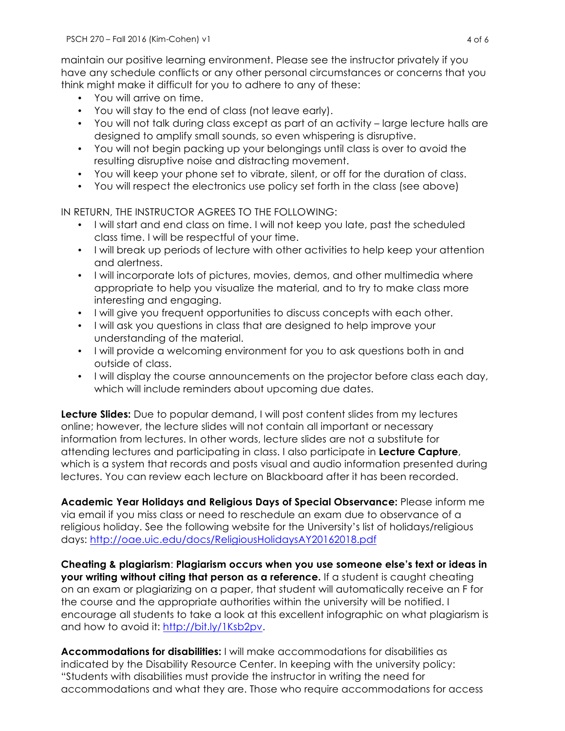maintain our positive learning environment. Please see the instructor privately if you have any schedule conflicts or any other personal circumstances or concerns that you think might make it difficult for you to adhere to any of these:

- You will arrive on time.
- You will stay to the end of class (not leave early).
- You will not talk during class except as part of an activity large lecture halls are designed to amplify small sounds, so even whispering is disruptive.
- You will not begin packing up your belongings until class is over to avoid the resulting disruptive noise and distracting movement.
- You will keep your phone set to vibrate, silent, or off for the duration of class.
- You will respect the electronics use policy set forth in the class (see above)

IN RETURN, THE INSTRUCTOR AGREES TO THE FOLLOWING:

- I will start and end class on time. I will not keep you late, past the scheduled class time. I will be respectful of your time.
- I will break up periods of lecture with other activities to help keep your attention and alertness.
- I will incorporate lots of pictures, movies, demos, and other multimedia where appropriate to help you visualize the material, and to try to make class more interesting and engaging.
- I will give you frequent opportunities to discuss concepts with each other.
- I will ask you questions in class that are designed to help improve your understanding of the material.
- I will provide a welcoming environment for you to ask questions both in and outside of class.
- I will display the course announcements on the projector before class each day, which will include reminders about upcoming due dates.

**Lecture Slides:** Due to popular demand, I will post content slides from my lectures online; however, the lecture slides will not contain all important or necessary information from lectures. In other words, lecture slides are not a substitute for attending lectures and participating in class. I also participate in **Lecture Capture**, which is a system that records and posts visual and audio information presented during lectures. You can review each lecture on Blackboard after it has been recorded.

**Academic Year Holidays and Religious Days of Special Observance:** Please inform me via email if you miss class or need to reschedule an exam due to observance of a religious holiday. See the following website for the University's list of holidays/religious days: http://oae.uic.edu/docs/ReligiousHolidaysAY20162018.pdf

**Cheating & plagiarism**: **Plagiarism occurs when you use someone else's text or ideas in your writing without citing that person as a reference.** If a student is caught cheating on an exam or plagiarizing on a paper, that student will automatically receive an F for the course and the appropriate authorities within the university will be notified. I encourage all students to take a look at this excellent infographic on what plagiarism is and how to avoid it: http://bit.ly/1Ksb2pv.

**Accommodations for disabilities:** I will make accommodations for disabilities as indicated by the Disability Resource Center. In keeping with the university policy: "Students with disabilities must provide the instructor in writing the need for accommodations and what they are. Those who require accommodations for access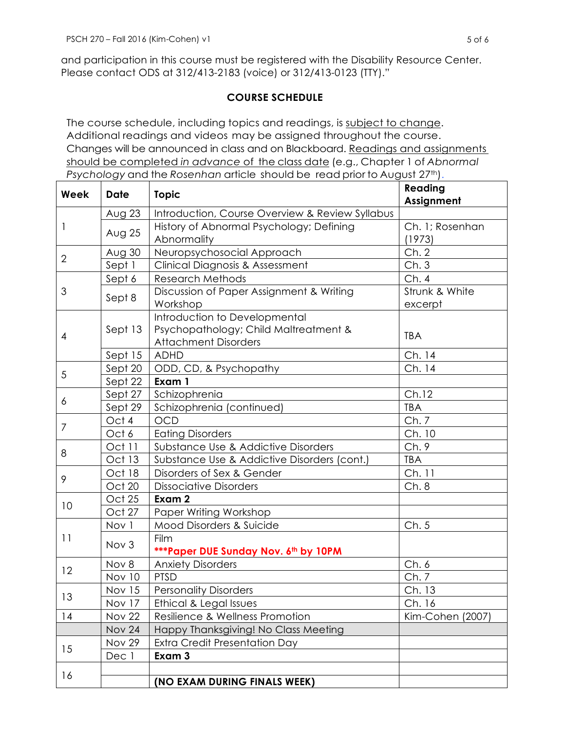and participation in this course must be registered with the Disability Resource Center. Please contact ODS at 312/413-2183 (voice) or 312/413-0123 (TTY)."

## **COURSE SCHEDULE**

The course schedule, including topics and readings, is subject to change. Additional readings and videos may be assigned throughout the course. Changes will be announced in class and on Blackboard. Readings and assignments should be completed *in advance* of the class date (e.g., Chapter 1 of *Abnormal Psychology* and the *Rosenhan* article should be read prior to August 27<sup>th</sup>).

| Week           | <b>Date</b>   | <b>Topic</b>                                                                                          | Reading<br>Assignment     |
|----------------|---------------|-------------------------------------------------------------------------------------------------------|---------------------------|
| 1              | Aug $23$      | Introduction, Course Overview & Review Syllabus                                                       |                           |
|                | Aug 25        | History of Abnormal Psychology; Defining<br>Abnormality                                               | Ch. 1; Rosenhan<br>(1973) |
| $\overline{2}$ | Aug 30        | Neuropsychosocial Approach                                                                            | Ch.2                      |
|                | Sept 1        | Clinical Diagnosis & Assessment                                                                       | Ch.3                      |
| 3              | Sept 6        | <b>Research Methods</b>                                                                               | Ch.4                      |
|                | Sept 8        | Discussion of Paper Assignment & Writing<br>Workshop                                                  | Strunk & White<br>excerpt |
| 4              | Sept 13       | Introduction to Developmental<br>Psychopathology; Child Maltreatment &<br><b>Attachment Disorders</b> | <b>TBA</b>                |
|                | Sept 15       | <b>ADHD</b>                                                                                           | Ch. 14                    |
| 5              | Sept 20       | ODD, CD, & Psychopathy                                                                                | Ch. 14                    |
|                | Sept 22       | Exam 1                                                                                                |                           |
| 6              | Sept 27       | Schizophrenia                                                                                         | Ch.12                     |
|                | Sept 29       | Schizophrenia (continued)                                                                             | <b>TBA</b>                |
| 7              | Oct 4         | <b>OCD</b>                                                                                            | Ch.7                      |
|                | Oct 6         | <b>Eating Disorders</b>                                                                               | Ch. 10                    |
| 8              | Oct 11        | Substance Use & Addictive Disorders                                                                   | Ch.9                      |
|                | Oct 13        | Substance Use & Addictive Disorders (cont.)                                                           | <b>TBA</b>                |
| 9              | Oct 18        | Disorders of Sex & Gender                                                                             | Ch. 11                    |
|                | Oct 20        | <b>Dissociative Disorders</b>                                                                         | Ch.8                      |
| 10             | Oct 25        | Exam 2                                                                                                |                           |
|                | Oct 27        | Paper Writing Workshop                                                                                |                           |
| 11             | Nov 1         | Mood Disorders & Suicide                                                                              | Ch.5                      |
|                | Nov 3         | Film<br><b>***Paper DUE Sunday Nov. 6th by 10PM</b>                                                   |                           |
| 12             | Nov 8         | <b>Anxiety Disorders</b>                                                                              | Ch.6                      |
|                | <b>Nov 10</b> | <b>PTSD</b>                                                                                           | Ch.7                      |
| 13             | <b>Nov 15</b> | <b>Personality Disorders</b>                                                                          | Ch. 13                    |
|                | Nov 17        | Ethical & Legal Issues                                                                                | Ch. 16                    |
| 14             | <b>Nov 22</b> | Resilience & Wellness Promotion                                                                       | Kim-Cohen (2007)          |
|                | <b>Nov 24</b> | Happy Thanksgiving! No Class Meeting                                                                  |                           |
| 15             | <b>Nov 29</b> | Extra Credit Presentation Day                                                                         |                           |
|                | Dec 1         | Exam 3                                                                                                |                           |
| 16             |               |                                                                                                       |                           |
|                |               | (NO EXAM DURING FINALS WEEK)                                                                          |                           |